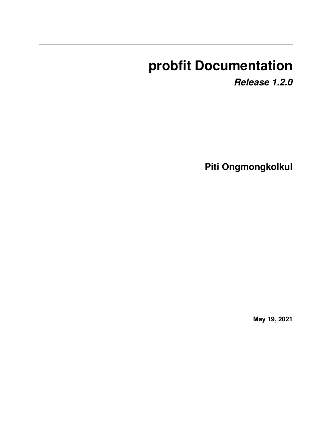# **probfit Documentation**

*Release 1.2.0*

**Piti Ongmongkolkul**

**May 19, 2021**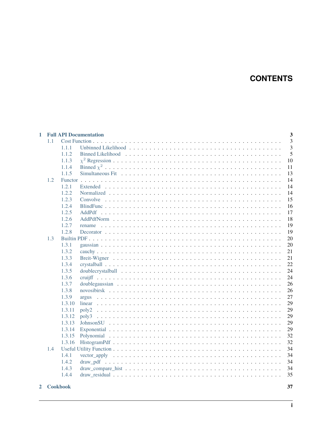## **CONTENTS**

| 1 |     |        | <b>Full API Documentation</b> | 3              |
|---|-----|--------|-------------------------------|----------------|
|   | 1.1 |        |                               | 3              |
|   |     | 1.1.1  |                               | $\overline{3}$ |
|   |     | 1.1.2  |                               | 5              |
|   |     | 1.1.3  |                               | 10             |
|   |     | 1.1.4  |                               | 11             |
|   |     | 1.1.5  |                               | 13             |
|   | 1.2 |        |                               | 14             |
|   |     | 1.2.1  |                               | 14             |
|   |     | 1.2.2  |                               | 14             |
|   |     | 1.2.3  |                               | 15             |
|   |     | 1.2.4  |                               | 16             |
|   |     | 1.2.5  |                               | 17             |
|   |     | 1.2.6  |                               | 18             |
|   |     | 1.2.7  | rename                        | 19             |
|   |     | 1.2.8  |                               | 19             |
|   | 1.3 |        |                               | 20             |
|   |     | 1.3.1  |                               | 20             |
|   |     | 1.3.2  |                               | 21             |
|   |     | 1.3.3  |                               | 21             |
|   |     | 1.3.4  |                               | 22             |
|   |     | 1.3.5  |                               | 24             |
|   |     | 1.3.6  |                               | 24             |
|   |     | 1.3.7  |                               | 26             |
|   |     | 1.3.8  |                               | 26             |
|   |     | 1.3.9  |                               | 27             |
|   |     | 1.3.10 | linear                        | 29             |
|   |     | 1.3.11 | poly2                         | 29             |
|   |     | 1.3.12 | poly3                         | 29             |
|   |     | 1.3.13 |                               | 29             |
|   |     | 1.3.14 |                               | 29             |
|   |     | 1.3.15 |                               | 32             |
|   |     | 1.3.16 |                               | 32             |
|   | 1.4 |        |                               | 34             |
|   |     | 1.4.1  |                               | 34             |
|   |     | 1.4.2  |                               | 34             |
|   |     | 1.4.3  |                               | 34             |
|   |     | 1.4.4  |                               | 35             |
|   |     |        |                               |                |

#### 2 Cookbook

37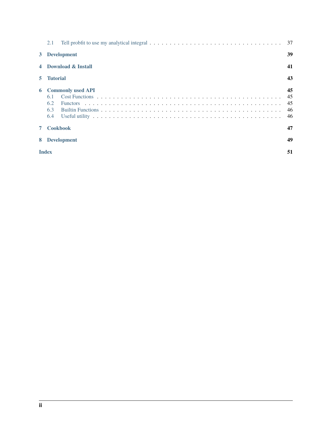|                | 2.1                                                  | 37                         |  |  |  |  |
|----------------|------------------------------------------------------|----------------------------|--|--|--|--|
| 3              | <b>Development</b>                                   | 39                         |  |  |  |  |
|                | Download & Install                                   |                            |  |  |  |  |
| 5              | <b>Tutorial</b>                                      | 43                         |  |  |  |  |
| 6              | <b>Commonly used API</b><br>6.1<br>6.2<br>6.3<br>6.4 | 45<br>45<br>45<br>46<br>46 |  |  |  |  |
| $\overline{7}$ | <b>Cookbook</b>                                      | 47                         |  |  |  |  |
|                | 49<br><b>Development</b>                             |                            |  |  |  |  |
|                | <b>Index</b><br>51                                   |                            |  |  |  |  |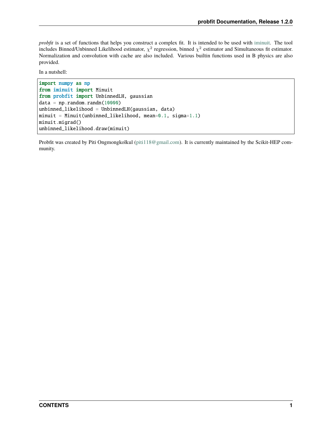*probfit* is a set of functions that helps you construct a complex fit. It is intended to be used with [iminuit.](https://iminuit.readthedocs.io/) The tool includes Binned/Unbinned Likelihood estimator,  $\chi^2$  regression, binned  $\chi^2$  estimator and Simultaneous fit estimator. Normalization and convolution with cache are also included. Various builtin functions used in B physics are also provided.

In a nutshell:

```
import numpy as np
from iminuit import Minuit
from probfit import UnbinnedLH, gaussian
data = np.random.random(10000)unbinned_likelihood = UnbinnedLH(gaussian, data)
minuit = Minuit(unbinned_likelihood, mean=0.1, sigma=1.1)
minuit.migrad()
unbinned_likelihood.draw(minuit)
```
Probfit was created by Piti Ongmongkolkul [\(piti118@gmail.com\)](mailto:piti118@gmail.com). It is currently maintained by the Scikit-HEP community.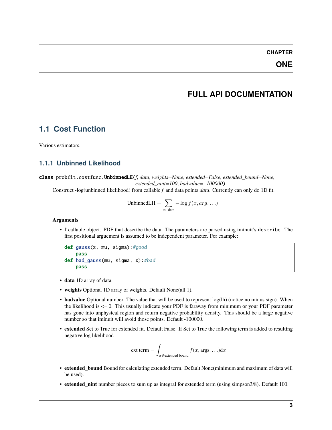### **ONE**

## **FULL API DOCUMENTATION**

## <span id="page-6-4"></span><span id="page-6-1"></span><span id="page-6-0"></span>**1.1 Cost Function**

Various estimators.

### <span id="page-6-2"></span>**1.1.1 Unbinned Likelihood**

<span id="page-6-3"></span>class probfit.costfunc.UnbinnedLH(*f*, *data*, *weights=None*, *extended=False*, *extended\_bound=None*, *extended\_nint=100*, *badvalue=- 100000*)

Construct -log(unbinned likelihood) from callable *f* and data points *data*. Currently can only do 1D fit.

$$
Unbinned LH = \sum_{x \in data} -\log f(x, arg, \ldots)
$$

#### **Arguments**

• **f** callable object. PDF that describe the data. The parameters are parsed using iminuit's describe. The first positional arguement is assumed to be independent parameter. For example:

```
def gauss(x, mu, sigma):#good
   pass
def bad_gauss(mu, sigma, x):#bad
   pass
```
- **data** 1D array of data.
- **weights** Optional 1D array of weights. Default None(all 1).
- **badvalue** Optional number. The value that will be used to represent log(lh) (notice no minus sign). When the likelihood is <= 0. This usually indicate your PDF is faraway from minimum or your PDF parameter has gone into unphysical region and return negative probability density. This should be a large negative number so that iminuit will avoid those points. Default -100000.
- **extended** Set to True for extended fit. Default False. If Set to True the following term is added to resulting negative log likelihood

ext term = 
$$
\int_{x \in \text{extended bound}} f(x, \text{args}, \ldots) \text{d}x
$$

- **extended bound** Bound for calculating extended term. Default None(minimum and maximum of data will be used).
- **extended\_nint** number pieces to sum up as integral for extended term (using simpson3/8). Default 100.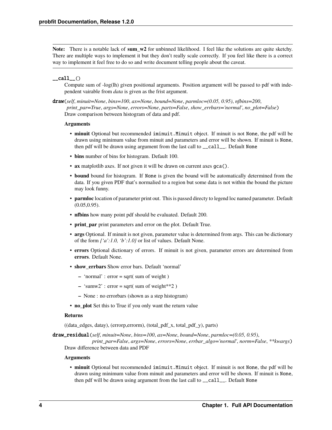<span id="page-7-1"></span>**Note:** There is a notable lack of **sum\_w2** for unbinned likelihood. I feel like the solutions are quite sketchy. There are multiple ways to implement it but they don't really scale correctly. If you feel like there is a correct way to implement it feel free to do so and write document telling people about the caveat.

#### $\_call\_()$

Compute sum of -log(lh) given positional arguments. Position argument will be passed to pdf with independent vairable from *data* is given as the frist argument.

<span id="page-7-0"></span>draw(*self*, *minuit=None*, *bins=100*, *ax=None*, *bound=None*, *parmloc=(0.05, 0.95)*, *nfbins=200*, *print\_par=True*, *args=None*, *errors=None*, *parts=False*, *show\_errbars='normal'*, *no\_plot=False*) Draw comparison between histogram of data and pdf.

#### **Arguments**

- **minuit** Optional but recommended iminuit.Minuit object. If minuit is not None, the pdf will be drawn using minimum value from minuit and parameters and error will be shown. If minuit is None, then pdf will be drawn using argument from the last call to \_\_call\_\_. Default None
- **bins** number of bins for histogram. Default 100.
- **ax** matplotlib axes. If not given it will be drawn on current axes gca().
- **bound** bound for histogram. If None is given the bound will be automatically determined from the data. If you given PDF that's normalied to a region but some data is not within the bound the picture may look funny.
- **parmloc** location of parameter print out. This is passed directy to legend loc named parameter. Default  $(0.05, 0.95)$ .
- **nfbins** how many point pdf should be evaluated. Default 200.
- **print\_par** print parameters and error on the plot. Default True.
- **args** Optional. If minuit is not given, parameter value is determined from args. This can be dictionary of the form *{'a':1.0, 'b':1.0}* or list of values. Default None.
- **errors** Optional dictionary of errors. If minuit is not given, parameter errors are determined from **errors**. Default None.
- **show\_errbars** Show error bars. Default 'normal'
	- **–** 'normal' : error = sqrt( sum of weight )
	- **–** 'sumw2' : error = sqrt( sum of weight\*\*2 )
	- **–** None : no errorbars (shown as a step histogram)
- **no\_plot** Set this to True if you only want the return value

#### **Returns**

((data\_edges, datay), (errorp,errorm), (total\_pdf\_x, total\_pdf\_y), parts)

draw\_residual(*self*, *minuit=None*, *bins=100*, *ax=None*, *bound=None*, *parmloc=(0.05, 0.95)*,

*print\_par=False*, *args=None*, *errors=None*, *errbar\_algo='normal'*, *norm=False*, *\*\*kwargs*) Draw difference between data and PDF

#### **Arguments**

• **minuit** Optional but recommended iminuit.Minuit object. If minuit is not None, the pdf will be drawn using minimum value from minuit and parameters and error will be shown. If minuit is None, then pdf will be drawn using argument from the last call to \_\_call\_\_. Default None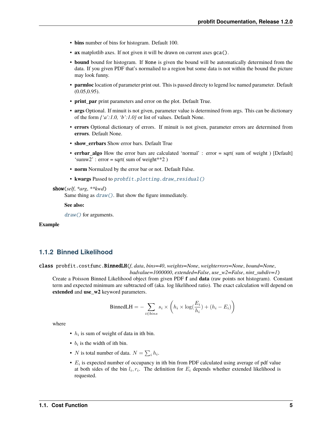- <span id="page-8-2"></span>• **bins** number of bins for histogram. Default 100.
- **ax** matplotlib axes. If not given it will be drawn on current axes gca().
- **bound** bound for histogram. If None is given the bound will be automatically determined from the data. If you given PDF that's normalied to a region but some data is not within the bound the picture may look funny.
- **parmloc** location of parameter print out. This is passed directy to legend loc named parameter. Default  $(0.05, 0.95)$ .
- **print\_par** print parameters and error on the plot. Default True.
- **args** Optional. If minuit is not given, parameter value is determined from args. This can be dictionary of the form *{'a':1.0, 'b':1.0}* or list of values. Default None.
- **errors** Optional dictionary of errors. If minuit is not given, parameter errors are determined from **errors**. Default None.
- **show\_errbars** Show error bars. Default True
- **errbar algo** How the error bars are calculated 'normal' : error = sqrt( sum of weight ) [Default] 'sumw2' :  $error = sqrt($  sum of weight\*\*2)
- **norm** Normalzed by the error bar or not. Default False.
- **kwargs** Passed to [probfit.plotting.draw\\_residual\(\)](#page-38-1)

show(*self*, *\*arg*, *\*\*kwd*)

Same thing as  $draw()$ . But show the figure immediately.

#### **See also:**

[draw\(\)](#page-7-0) for arguments.

#### **Example**

#### <span id="page-8-0"></span>**1.1.2 Binned Likelihood**

<span id="page-8-1"></span>class probfit.costfunc.BinnedLH(*f*, *data*, *bins=40*, *weights=None*, *weighterrors=None*, *bound=None*,

*badvalue=1000000*, *extended=False*, *use\_w2=False*, *nint\_subdiv=1*)

Create a Poisson Binned Likelihood object from given PDF **f** and **data** (raw points not histogram). Constant term and expected minimum are subtracted off (aka. log likelihood ratio). The exact calculation will depend on **extended** and **use\_w2** keyword parameters.

$$
\text{BinnedLH} = -\sum_{i \in bins} s_i \times \left( h_i \times \log(\frac{E_i}{h_i}) + (h_i - E_i) \right)
$$

where

- $h_i$  is sum of weight of data in ith bin.
- $\bullet$   $b_i$  is the width of ith bin.
- *N* is total number of data.  $N = \sum_i h_i$ .
- $E_i$  is expected number of occupancy in ith bin from PDF calculated using average of pdf value at both sides of the bin  $l_i, r_i$ . The definition for  $E_i$  depends whether extended likelihood is requested.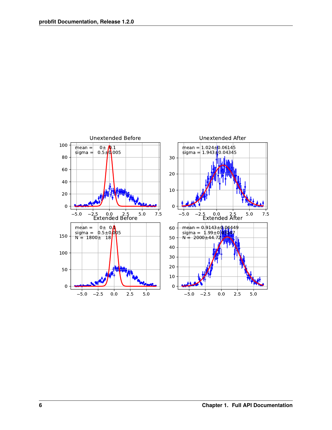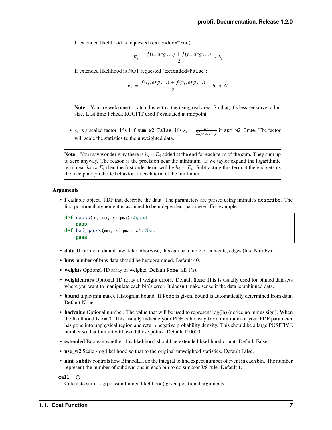<span id="page-10-1"></span>If extended likelihood is requested (extended=True):

$$
E_i = \frac{f(l_i, arg...)+ f(r_i, arg...)}{2} \times b_i
$$

If extended likelihood is NOT requested (extended=False):

$$
E_i = \frac{f(l_i, arg...)+ f(r_i, arg...)}{2} \times b_i \times N
$$

**Note:** You are welcome to patch this with a the using real area. So that, it's less sensitive to bin size. Last time I check ROOFIT used **f** evaluated at midpoint.

•  $s_i$  is a scaled factor. It's 1 if sum\_w2=False. It's  $s_i = \frac{h_i}{\sum_{j \in \text{bin } i} w_j^2}$  if sum\_w2=True. The factor will scale the statistics to the unweighted data.

**Note:** You may wonder why there is  $h_i - E_i$  added at the end for each term of the sum. They sum up to zero anyway. The reason is the precision near the minimum. If we taylor expand the logarithmic term near  $h_i \approx E_i$  then the first order term will be  $h_i - E_i$ . Subtracting this term at the end gets us the nice pure parabolic behavior for each term at the minimum.

#### **Arguments**

• **f** callable object. PDF that describe the data. The parameters are parsed using iminuit's describe. The first positional arguement is assumed to be independent parameter. For example:

```
def gauss(x, mu, sigma):#good
   pass
def bad_gauss(mu, sigma, x):#bad
   pass
```
- **data** 1D array of data if raw data; otherwise, this can be a tuple of contents, edges (like NumPy).
- **bins** number of bins data should be histogrammed. Default 40.
- **weights** Optional 1D array of weights. Default None (all 1's).
- **weighterrors** Optional 1D array of weight errors. Default None This is usually used for binned datasets where you want to manipulate each bin's error. It doesn't make sense if the data is unbinned data.
- **bound** tuple(min,max). Histogram bound. If None is given, bound is automatically determined from data. Default None.
- **badvalue** Optional number. The value that will be used to represent  $log(lh)$  (notice no minus sign). When the likelihood is <= 0. This usually indicate your PDF is faraway from minimum or your PDF parameter has gone into unphysical region and return negative probability density. This should be a large POSITIVE number so that iminuit will avoid those points. Default 100000.
- **extended** Boolean whether this likelihood should be extended likelihood or not. Default False.
- **use** w2 Scale -log likelihood so that to the original unweighted statistics. Default False.
- **nint\_subdiv** controls how BinnedLH do the integral to find expect number of event in each bin. The number represent the number of subdivisions in each bin to do simpson3/8 rule. Default 1.

<span id="page-10-0"></span>\_\_call\_\_()

Calculate sum -log(poisson binned likelihood) given positional arguments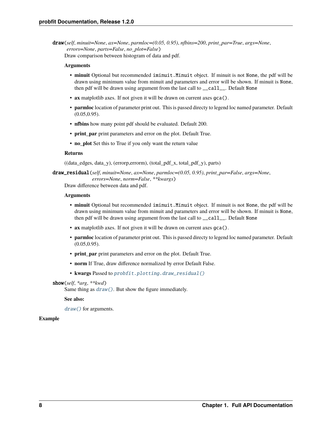<span id="page-11-0"></span>draw(*self*, *minuit=None*, *ax=None*, *parmloc=(0.05, 0.95)*, *nfbins=200*, *print\_par=True*, *args=None*, *errors=None*, *parts=False*, *no\_plot=False*)

Draw comparison between histogram of data and pdf.

#### **Arguments**

- **minuit** Optional but recommended iminuit.Minuit object. If minuit is not None, the pdf will be drawn using minimum value from minuit and parameters and error will be shown. If minuit is None, then pdf will be drawn using argument from the last call to \_\_call\_\_. Default None
- **ax** matplotlib axes. If not given it will be drawn on current axes gca().
- **parmloc** location of parameter print out. This is passed directy to legend loc named parameter. Default  $(0.05, 0.95)$ .
- **nfbins** how many point pdf should be evaluated. Default 200.
- **print\_par** print parameters and error on the plot. Default True.
- **no\_plot** Set this to True if you only want the return value

#### **Returns**

((data\_edges, data\_y), (errorp,errorm), (total\_pdf\_x, total\_pdf\_y), parts)

draw\_residual(*self*, *minuit=None*, *ax=None*, *parmloc=(0.05, 0.95)*, *print\_par=False*, *args=None*, *errors=None*, *norm=False*, *\*\*kwargs*)

Draw difference between data and pdf.

#### **Arguments**

- **minuit** Optional but recommended iminuit.Minuit object. If minuit is not None, the pdf will be drawn using minimum value from minuit and parameters and error will be shown. If minuit is None, then pdf will be drawn using argument from the last call to \_\_call\_\_. Default None
- **ax** matplotlib axes. If not given it will be drawn on current axes gca().
- **parmloc** location of parameter print out. This is passed directy to legend loc named parameter. Default (0.05,0.95).
- **print\_par** print parameters and error on the plot. Default True.
- **norm** If True, draw difference normalized by error Default False.
- **kwargs** Passed to [probfit.plotting.draw\\_residual\(\)](#page-38-1)

#### show(*self*, *\*arg*, *\*\*kwd*)

Same thing as  $draw()$ . But show the figure immediately.

#### **See also:**

[draw\(\)](#page-10-0) for arguments.

#### **Example**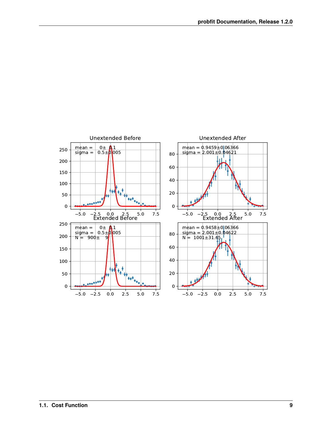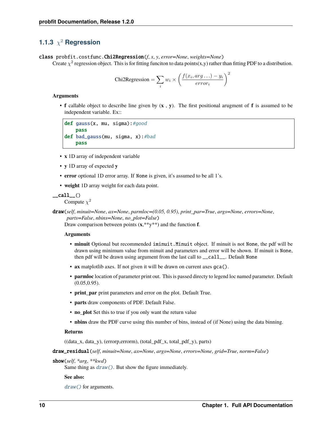### <span id="page-13-3"></span><span id="page-13-0"></span>**1.1.3** <sup>2</sup> **Regression**

<span id="page-13-2"></span>class probfit.costfunc.Chi2Regression(*f*, *x*, *y*, *error=None*, *weights=None*)

Create  $\chi^2$  regression object. This is for fitting funciton to data points(x,y) rather than fitting PDF to a distribution.

Chi2Regression = 
$$
\sum_{i} w_i \times \left(\frac{f(x_i, arg...)-y_i}{error_i}\right)^2
$$

#### **Arguments**

• **f** callable object to describe line given by (**x** , **y**). The first positional arugment of **f** is assumed to be independent variable. Ex::

```
def gauss(x, mu, sigma):#good
   pass
def bad_gauss(mu, sigma, x):#bad
   pass
```
- **x** 1D array of independent variable
- **y** 1D array of expected **y**
- **error** optional 1D error array. If None is given, it's assumed to be all 1's.
- **weight** 1D array weight for each data point.

```
\_call\_()Compute \chi^2
```

```
draw(self, minuit=None, ax=None, parmloc=(0.05, 0.95), print_par=True, args=None, errors=None,
```
*parts=False*, *nbins=None*, *no\_plot=False*)

Draw comparison between points (**x**,\*\*y\*\*) and the function **f**.

#### **Arguments**

- **minuit** Optional but recommended iminuit.Minuit object. If minuit is not None, the pdf will be drawn using minimum value from minuit and parameters and error will be shown. If minuit is None, then pdf will be drawn using argument from the last call to  $\text{\_call}\_\text{\_}$ . Default None
- **ax** matplotlib axes. If not given it will be drawn on current axes gca().
- **parmloc** location of parameter print out. This is passed directy to legend loc named parameter. Default (0.05,0.95).
- **print\_par** print parameters and error on the plot. Default True.
- **parts** draw components of PDF. Default False.
- **no plot** Set this to true if you only want the return value
- **nbins** draw the PDF curve using this number of bins, instead of (if None) using the data binning.

#### **Returns**

((data\_x, data\_y), (errorp,errorm), (total\_pdf\_x, total\_pdf\_y), parts)

draw\_residual(*self*, *minuit=None*, *ax=None*, *args=None*, *errors=None*, *grid=True*, *norm=False*)

```
show(self, *arg, **kwd)
```
Same thing as [draw\(\)](#page-13-1). But show the figure immediately.

**See also:**

[draw\(\)](#page-13-1) for arguments.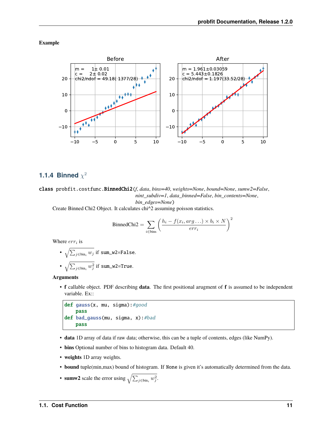#### <span id="page-14-2"></span>**Example**



### <span id="page-14-0"></span>**1.1.4 Binned**  $\chi^2$

<span id="page-14-1"></span>class probfit.costfunc.BinnedChi2(*f*, *data*, *bins=40*, *weights=None*, *bound=None*, *sumw2=False*, *nint\_subdiv=1*, *data\_binned=False*, *bin\_contents=None*, *bin\_edges=None*)

Create Binned Chi2 Object. It calculates chi^2 assuming poisson statistics.

$$
\text{BinnedChi2} = \sum_{i \in \text{bins}} \left( \frac{h_i - f(x_i, \arg \dots) \times b_i \times N}{err_i} \right)^2
$$

Where  $err_i$  is

\n- $$
\sqrt{\sum_{j \in \text{bin}_i} w_j}
$$
 if sum\_w2=False.
\n- $\sqrt{\sum_{j \in \text{bin}_i} w_j^2}$  if sum\_w2=True.
\n

**Arguments**

• **f** callable object. PDF describing **data**. The first positional arugment of **f** is assumed to be independent variable. Ex::

```
def gauss(x, mu, sigma):#good
   pass
def bad_gauss(mu, sigma, x):#bad
   pass
```
- **data** 1D array of data if raw data; otherwise, this can be a tuple of contents, edges (like NumPy).
- **bins** Optional number of bins to histogram data. Default 40.
- **weights** 1D array weights.
- **bound** tuple(min,max) bound of histogram. If None is given it's automatically determined from the data.
- **sumw2** scale the error using  $\sqrt{\sum_{j \in \text{bin}_i} w_j^2}$ .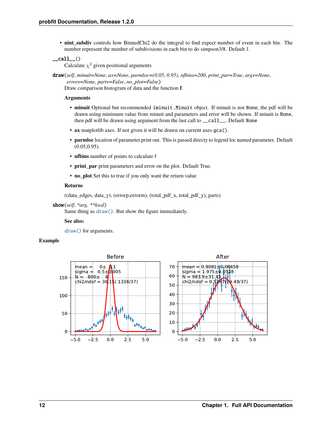<span id="page-15-1"></span>• **nint** subdiv controls how BinnedChi2 do the integral to find expect number of event in each bin. The number represent the number of subdivisions in each bin to do simpson3/8. Default 1.

#### $\_call\_()$

Calculate  $\chi^2$  given positional arguments

<span id="page-15-0"></span>draw(*self*, *minuit=None*, *ax=None*, *parmloc=(0.05, 0.95)*, *nfbins=200*, *print\_par=True*, *args=None*, *errors=None*, *parts=False*, *no\_plot=False*) Draw comparison histogram of data and the function **f**.

#### **Arguments**

- **minuit** Optional but recommended iminuit.Minuit object. If minuit is not None, the pdf will be drawn using minimum value from minuit and parameters and error will be shown. If minuit is None, then pdf will be drawn using argument from the last call to \_\_call\_\_. Default None
- **ax** matplotlib axes. If not given it will be drawn on current axes gca().
- **parmloc** location of parameter print out. This is passed directy to legend loc named parameter. Default (0.05,0.95).
- **nfbins** number of points to calculate f
- **print par** print parameters and error on the plot. Default True.
- **no\_plot** Set this to true if you only want the return value

#### **Returns**

((data\_edges, data\_y), (errorp,errorm), (total\_pdf\_x, total\_pdf\_y), parts)

show(*self*, *\*arg*, *\*\*kwd*)

Same thing as [draw\(\)](#page-15-0). But show the figure immediately.

#### **See also:**

[draw\(\)](#page-15-0) for arguments.

#### **Example**

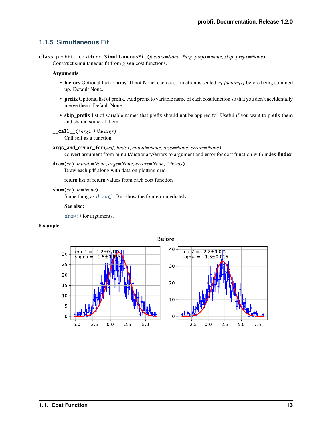### <span id="page-16-3"></span><span id="page-16-0"></span>**1.1.5 Simultaneous Fit**

<span id="page-16-2"></span>class probfit.costfunc.SimultaneousFit(*factors=None*, *\*arg*, *prefix=None*, *skip\_prefix=None*) Construct simultaneous fit from given cost functions.

#### **Arguments**

- **factors** Optional factor array. If not None, each cost function is scaled by *factors[i]* before being summed up. Default None.
- **prefix** Optional list of prefix. Add prefix to variable name of each cost function so that you don't accidentally merge them. Default None.
- **skip\_prefix** list of variable names that prefix should not be applied to. Useful if you want to prefix them and shared some of them.

\_\_call\_\_(*\*args*, *\*\*kwargs*) Call self as a function.

- args\_and\_error\_for(*self*, *findex*, *minuit=None*, *args=None*, *errors=None*) convert argument from minuit/dictionary/errors to argument and error for cost function with index **findex**
- <span id="page-16-1"></span>draw(*self*, *minuit=None*, *args=None*, *errors=None*, *\*\*kwds*) Draw each pdf along with data on plotting grid

return list of return values from each cost function

show(*self*, *m=None*)

Same thing as  $draw()$ . But show the figure immediately.

**See also:**

[draw\(\)](#page-16-1) for arguments.

#### **Example**

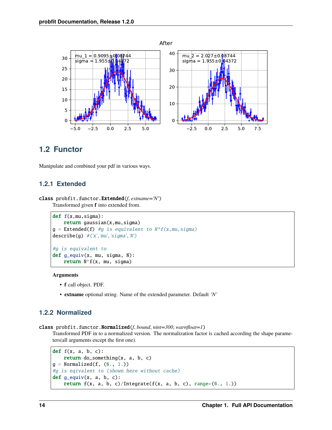<span id="page-17-5"></span>

### <span id="page-17-0"></span>**1.2 Functor**

Manipulate and combined your pdf in various ways.

### <span id="page-17-1"></span>**1.2.1 Extended**

```
class probfit.functor.Extended(f, extname='N')
```

```
Transformed given f into extended from.
```

```
def f(x,mu,sigma):
    return gaussian(x,mu,sigma)
g = Extended(f) #g is equivalent to N*f(x,mu,sigma)describe(g) #('x', 'mu', 'sigma', 'N')#g is equivalent to
def g_equiv(x, mu, sigma, N):
    return N * f(x, mu, sigma)
```
#### **Arguments**

- **f** call object. PDF.
- **extname** optional string. Name of the extended parameter. Default *'N'*

### <span id="page-17-2"></span>**1.2.2 Normalized**

<span id="page-17-3"></span>class probfit.functor.Normalized(*f*, *bound*, *nint=300*, *warnfloat=1*)

Transformed PDF in to a normalized version. The normalization factor is cached according the shape parameters(all arguments except the first one).

```
def f(x, a, b, c):
    return do\_something(x, a, b, c)g = Normalized(f, (0., 1.))#g is eqivalent to (shown here without cache)
def g<sup>equiv(x, a, b, c):</sup>
    return f(x, a, b, c)/Integrate(f(x, a, b, c), range=(0., 1.))
```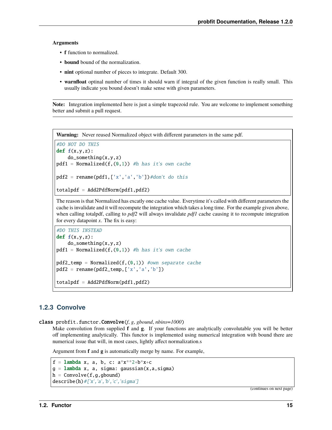#### <span id="page-18-2"></span>**Arguments**

- **f** function to normalized.
- **bound** bound of the normalization.
- **nint** optional number of pieces to integrate. Default 300.
- **warnfloat** optinal number of times it should warn if integral of the given function is really small. This usually indicate you bound doesn't make sense with given parameters.

**Note:** Integration implemented here is just a simple trapezoid rule. You are welcome to implement something better and submit a pull request.

**Warning:** Never reused Normalized object with different parameters in the same pdf.

```
#DO NOT DO THIS
def f(x,y,z):
    do_something(x,y,z)
pdf1 = Normalized(f, (0,1)) #h has it's own cache
pdf2 = rename(pdf1, ['x', 'a', 'b']) \# don't do thistotalpdf = Add2PdfNorm(pdf1,pdf2)
```
The reason is that Normalized has excatly one cache value. Everytime it's called with different parameters the cache is invalidate and it will recompute the integration which takes a long time. For the example given above, when calling totalpdf, calling to *pdf2* will always invalidate *pdf1* cache causing it to recompute integration for every datapoint *x*. The fix is easy:

```
#DO THIS INSTEAD
def f(x,y,z):
    do_something(x,y,z)
pdf1 = Normalized(f, (0,1)) #h has it's own cache
pdf2_temp = Normalized(f, (0,1)) #own separate cache
pdf2 = rename(pdf2_temp, ['x', 'a', 'b'])totalpdf = Add2PdfNorm(pdf1,pdf2)
```
### <span id="page-18-0"></span>**1.2.3 Convolve**

<span id="page-18-1"></span>class probfit.functor.Convolve(*f*, *g*, *gbound*, *nbins=1000*)

Make convolution from supplied **f** and **g**. If your functions are analytically convolutable you will be better off implementing analytically. This functor is implemented using numerical integration with bound there are numerical issue that will, in most cases, lightly affect normalization.s

Argument from **f** and **g** is automatically merge by name. For example,

```
f = lambda x, a, b, c: a * x * z + b * x + cq = lambda x, a, sigma: gaussian(x,a,sigma)
h = Convolve(f,g,gbound)describe(h) #['x', 'a', 'b', 'c', 'sigma']
```
(continues on next page)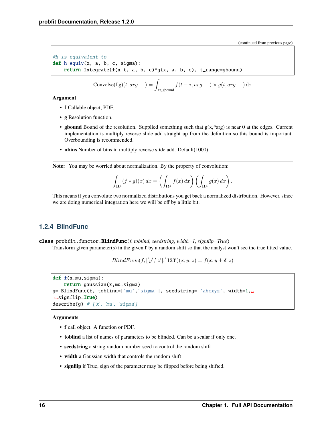(continued from previous page)

<span id="page-19-1"></span>#h is equivalent to def h\_equiv(x, a, b, c, sigma): return Integrate(f(x-t, a, b, c)\*g(x, a, b, c), t\_range=gbound)

$$
\text{Convolve}(f,g)(t, arg...)=\int_{\tau \in \text{gbound}} f(t-\tau, arg...) \times g(t, arg...) d\tau
$$

#### **Argument**

- **f** Callable object, PDF.
- **g** Resolution function.
- **gbound** Bound of the resolution. Supplied something such that g(x,\*arg) is near 0 at the edges. Current implementation is multiply reverse slide add straight up from the definition so this bound is important. Overbounding is recommended.
- **nbins** Number of bins in multiply reverse slide add. Default(1000)

**Note:** You may be worried about normalization. By the property of convolution:

$$
\int_{\mathbf{R}^d} (f * g)(x) dx = \left( \int_{\mathbf{R}^d} f(x) dx \right) \left( \int_{\mathbf{R}^d} g(x) dx \right).
$$

This means if you convolute two normalized distributions you get back a normalized distribution. However, since we are doing numerical integration here we will be off by a little bit.

### <span id="page-19-0"></span>**1.2.4 BlindFunc**

class probfit.functor.BlindFunc(*f*, *toblind*, *seedstring*, *width=1*, *signflip=True*)

Transform given parameter(s) in the given **f** by a random shift so that the analyst won't see the true fitted value.

 $BlindFunc(f, [y', z'], 123')(x, y, z) = f(x, y \pm \delta, z)$ 

```
def f(x,mu,sigma):
    return gaussian(x,mu,sigma)
g= BlindFunc(f, toblind=['mu','sigma'], seedstring= 'abcxyz', width=1,␣
\rightarrowsignflip=True)
describe(g) # ['x', 'mu', 'sigma']
```
#### **Arguments**

- **f** call object. A function or PDF.
- **toblind** a list of names of parameters to be blinded. Can be a scalar if only one.
- **seedstring** a string random number seed to control the random shift
- **width** a Gaussian width that controls the random shift
- **signflip** if True, sign of the parameter may be flipped before being shifted.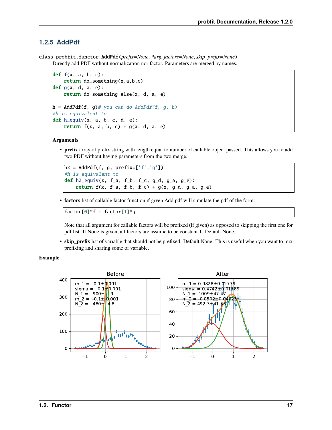### <span id="page-20-2"></span><span id="page-20-0"></span>**1.2.5 AddPdf**

<span id="page-20-1"></span>class probfit.functor.AddPdf(*prefix=None*, *\*arg*, *factors=None*, *skip\_prefix=None*) Directly add PDF without normalization nor factor. Parameters are merged by names.

```
def f(x, a, b, c):
    return do\_something(x,a,b,c)def q(x, d, a, e):
    return do_something_else(x, d, a, e)
h = AddPdf(f, g)# you can do AddPdf(f, g, h)
#h is equivalent to
def h<sub>equiv</sub>(x, a, b, c, d, e):
    return f(x, a, b, c) + g(x, d, a, e)
```
**Arguments**

• **prefix** array of prefix string with length equal to number of callable object passed. This allows you to add two PDF without having parameters from the two merge.

```
h2 = AddPdf(f, g, prefix=['f', 'g'])#h is equivalent to
def h2<sub>-</sub>equiv(x, f_a, f_b, f_c, g_d, g_a, g_e):
    return f(x, f_a, f_b, f_c) + g(x, g_d, g_a, g_e)
```
• **factors** list of callable factor function if given Add pdf will simulate the pdf of the form:

 $factor[0]*f + factor[1]*g$ 

Note that all argument for callable factors will be prefixed (if given) as opposed to skipping the first one for pdf list. If None is given, all factors are assume to be constant 1. Default None.

• **skip\_prefix** list of variable that should not be prefixed. Default None. This is useful when you want to mix prefixing and sharing some of variable.

#### **Example**

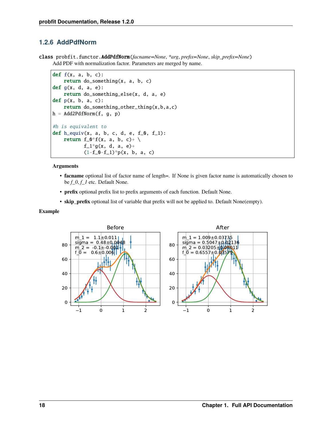### <span id="page-21-2"></span><span id="page-21-0"></span>**1.2.6 AddPdfNorm**

<span id="page-21-1"></span>class probfit.functor.AddPdfNorm(*facname=None*, *\*arg*, *prefix=None*, *skip\_prefix=None*) Add PDF with normalization factor. Parameters are merged by name.

```
def f(x, a, b, c):
    return do_something(x, a, b, c)def g(x, d, a, e):
    return do_something_else(x, d, a, e)
def p(x, b, a, c):
    return do_something_other_thing(x,b,a,c)
h = Add2PdfNorm(f, g, p)
#h is equivalent to
def h<sub>-equiv</sub>(x, a, b, c, d, e, f_0, f_1):
    return f_0 * f(x, a, b, c) + \setminusf_1 * g(x, d, a, e) +(1-f_0-f_1)*p(x, b, a, c)
```
#### **Arguments**

- **facname** optional list of factor name of length=. If None is given factor name is automatically chosen to be *f\_0*, *f\_1* etc. Default None.
- **prefix** optional prefix list to prefix arguments of each function. Default None.
- **skip\_prefix** optional list of variable that prefix will not be applied to. Default None(empty).

#### **Example**

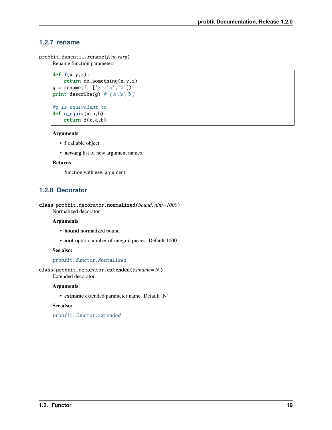### <span id="page-22-5"></span><span id="page-22-0"></span>**1.2.7 rename**

<span id="page-22-2"></span>probfit.funcutil.rename(*f*, *newarg*)

Rename function parameters.

```
def f(x,y,z):
   return do\_something(x,y,z)g = rename(f, ['x','a','b'])
print describe(g) # ['x','a','b']
#g is equivalent to
def g_equiv(x,a,b):
    return f(x,a,b)
```
#### **Arguments**

- **f** callable object
- **newarg** list of new argument names

#### **Returns**

function with new argument.

### <span id="page-22-1"></span>**1.2.8 Decorator**

<span id="page-22-3"></span>class probfit.decorator.normalized(*bound*, *nint=1000*) Normalized decorator

#### **Arguments**

- **bound** normalized bound
- **nint** option number of integral pieces. Default 1000.

**See also:**

[probfit.functor.Normalized](#page-17-3)

<span id="page-22-4"></span>class probfit.decorator.extended(*extname='N'*) Extended decorator

#### **Arguments**

• **extname** extended parameter name. Default 'N'

**See also:**

[probfit.functor.Extended](#page-17-4)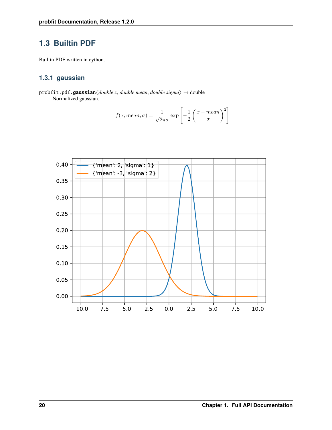## <span id="page-23-3"></span><span id="page-23-0"></span>**1.3 Builtin PDF**

Builtin PDF written in cython.

### <span id="page-23-1"></span>**1.3.1 gaussian**

<span id="page-23-2"></span>probfit.pdf.gaussian(*double x*, *double mean*, *double sigma*) → double Normalized gaussian.

$$
f(x; mean, \sigma) = \frac{1}{\sqrt{2\pi}\sigma} \exp\left[-\frac{1}{2}\left(\frac{x - mean}{\sigma}\right)^2\right]
$$

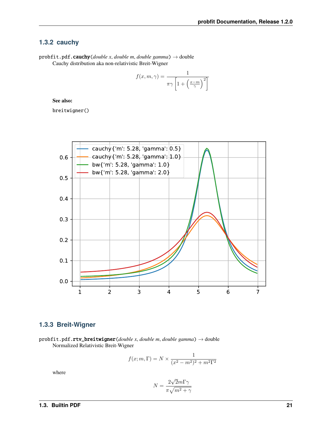### <span id="page-24-4"></span><span id="page-24-0"></span>**1.3.2 cauchy**

<span id="page-24-2"></span>probfit.pdf.cauchy(*double x*, *double m*, *double gamma*) → double Cauchy distribution aka non-relativistic Breit-Wigner

$$
f(x, m, \gamma) = \frac{1}{\pi \gamma \left[1 + \left(\frac{x - m}{\gamma}\right)^2\right]}
$$

**See also:**

breitwigner()



### <span id="page-24-1"></span>**1.3.3 Breit-Wigner**

<span id="page-24-3"></span>probfit.pdf.rtv\_breitwigner(*double x*, *double m*, *double gamma*) → double Normalized Relativistic Breit-Wigner

$$
f(x; m, \Gamma) = N \times \frac{1}{(x^2 - m^2)^2 + m^2 \Gamma^2}
$$

where

$$
N = \frac{2\sqrt{2}m\Gamma\gamma}{\pi\sqrt{m^2 + \gamma}}
$$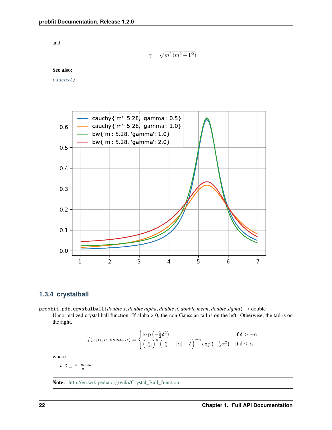<span id="page-25-2"></span>and

$$
\gamma = \sqrt{m^2 \left( m^2 + \Gamma^2 \right)}
$$

**See also:**

[cauchy\(\)](#page-24-2)



### <span id="page-25-0"></span>**1.3.4 crystalball**

<span id="page-25-1"></span>probfit.pdf.crystalball(*double x*, *double alpha*, *double n*, *double mean*, *double sigma*) → double Unnormalized crystal ball function. If alpha > 0, the non-Gaussian tail is on the left. Otherwise, the tail is on the right.

$$
f(x; \alpha, n, mean, \sigma) = \begin{cases} \exp\left(-\frac{1}{2}\delta^2\right) & \text{if } \delta > -\alpha\\ \left(\frac{n}{|\alpha|}\right)^n \left(\frac{n}{|\alpha|} - |\alpha| - \delta\right)^{-n} \exp\left(-\frac{1}{2}\alpha^2\right) & \text{if } \delta \le \alpha \end{cases}
$$

where

•  $\delta = \frac{x - mean}{\sigma}$ 

**Note:** [http://en.wikipedia.org/wiki/Crystal\\_Ball\\_function](http://en.wikipedia.org/wiki/Crystal_Ball_function)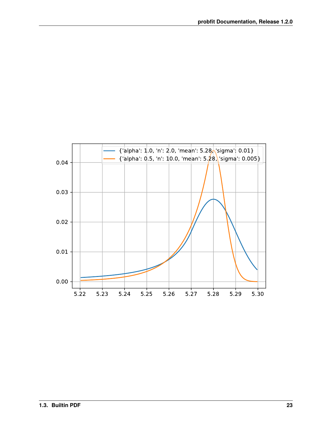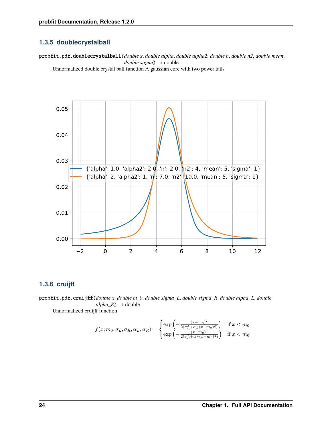### <span id="page-27-4"></span><span id="page-27-0"></span>**1.3.5 doublecrystalball**

<span id="page-27-2"></span>probfit.pdf.doublecrystalball(*double x*, *double alpha*, *double alpha2*, *double n*, *double n2*, *double mean*, *double sigma*) → double

Unnormalized double crystal ball function A gaussian core with two power tails



### <span id="page-27-1"></span>**1.3.6 cruijff**

<span id="page-27-3"></span>probfit.pdf.cruijff(*double x*, *double m\_0*, *double sigma\_L*, *double sigma\_R*, *double alpha\_L*, *double*  $alpha_R) \rightarrow double$ 

Unnormalized cruijff function

$$
f(x; m_0, \sigma_L, \sigma_R, \alpha_L, \alpha_R) = \begin{cases} \exp\left(-\frac{(x - m_0)^2}{2(\sigma_L^2 + \alpha_L (x - m_0)^2)}\right) & \text{if } x < m_0\\ \exp\left(-\frac{(x - m_0)^2}{2(\sigma_R^2 + \alpha_R (x - m_0)^2)}\right) & \text{if } x < m_0 \end{cases}
$$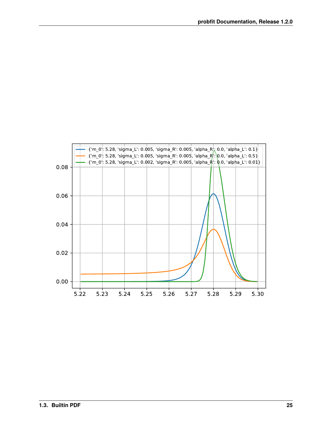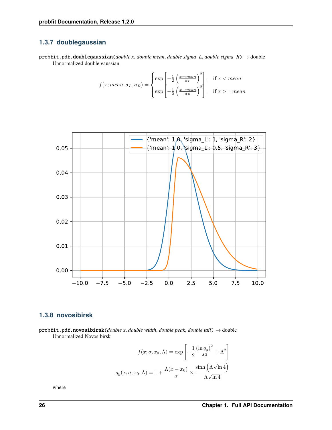### <span id="page-29-4"></span><span id="page-29-0"></span>**1.3.7 doublegaussian**

<span id="page-29-2"></span>probfit.pdf.doublegaussian(*double x*, *double mean*, *double sigma\_L*, *double sigma\_R*) → double Unnormalized double gaussian

$$
f(x; mean, \sigma_L, \sigma_R) = \begin{cases} \exp\left[-\frac{1}{2}\left(\frac{x - mean}{\sigma_L}\right)^2\right], & \text{if } x < mean\\ \exp\left[-\frac{1}{2}\left(\frac{x - mean}{\sigma_R}\right)^2\right], & \text{if } x > = mean \end{cases}
$$



### <span id="page-29-1"></span>**1.3.8 novosibirsk**

<span id="page-29-3"></span>probfit.pdf.novosibirsk(*double x*, *double width*, *double peak*, *double tail*) → double Unnormalized Novosibirsk

$$
f(x; \sigma, x_0, \Lambda) = \exp\left[-\frac{1}{2}\frac{(\ln q_y)^2}{\Lambda^2} + \Lambda^2\right]
$$

$$
q_y(x; \sigma, x_0, \Lambda) = 1 + \frac{\Lambda(x - x_0)}{\sigma} \times \frac{\sinh\left(\Lambda\sqrt{\ln 4}\right)}{\Lambda\sqrt{\ln 4}}
$$

where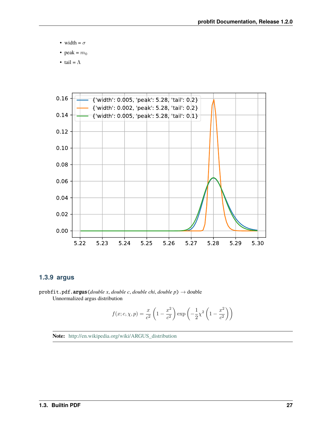- <span id="page-30-2"></span>• width =  $\sigma$
- peak =  $m_0$
- tail =  $\Lambda$



### <span id="page-30-0"></span>**1.3.9 argus**

<span id="page-30-1"></span>probfit.pdf.argus(*double x*, *double c*, *double chi*, *double p*) → double Unnormalized argus distribution

$$
f(x; c, \chi, p) = \frac{x}{c^2} \left( 1 - \frac{x^2}{c^2} \right) \exp \left( -\frac{1}{2} \chi^2 \left( 1 - \frac{x^2}{c^2} \right) \right)
$$

**Note:** [http://en.wikipedia.org/wiki/ARGUS\\_distribution](http://en.wikipedia.org/wiki/ARGUS_distribution)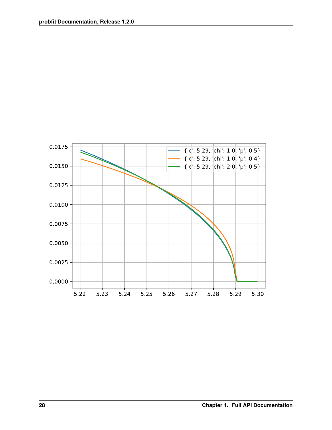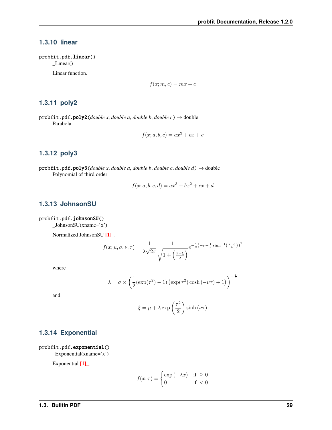### <span id="page-32-9"></span><span id="page-32-0"></span>**1.3.10 linear**

<span id="page-32-6"></span>probfit.pdf.linear() \_Linear()

Linear function.

$$
f(x; m, c) = mx + c
$$

### <span id="page-32-1"></span>**1.3.11 poly2**

<span id="page-32-7"></span>probfit.pdf.poly2(*double x*, *double a*, *double b*, *double c*)  $\rightarrow$  *double* Parabola

$$
f(x;a,b,c) = ax^2 + bx + c
$$

### <span id="page-32-2"></span>**1.3.12 poly3**

<span id="page-32-8"></span>probfit.pdf.poly3(*double x*, *double a*, *double b*, *double c*, *double d*) → double Polynomial of third order

$$
f(x; a, b, c, d) = ax^3 + bx^2 + cx + d
$$

### <span id="page-32-3"></span>**1.3.13 JohnsonSU**

<span id="page-32-5"></span>probfit.pdf.johnsonSU()

\_JohnsonSU(xname='x')

Normalized JohnsonSU **[1]\_**.

$$
f(x; \mu, \sigma, \nu, \tau) = \frac{1}{\lambda \sqrt{2\pi}} \frac{1}{\sqrt{1 + \left(\frac{x-\xi}{\lambda}\right)}} e^{-\frac{1}{2}\left(-\nu + \frac{1}{\tau}\sinh^{-1}\left(\frac{x-\xi}{\lambda}\right)\right)^2}
$$

where

$$
\lambda = \sigma \times \left(\frac{1}{2}(\exp(\tau^2) - 1)\left(\exp(\tau^2)\cosh(-\nu\tau) + 1\right)\right)^{-\frac{1}{2}}
$$

and

$$
\xi = \mu + \lambda \exp\left(\frac{\tau^2}{2}\right) \sinh\left(\nu\tau\right)
$$

### <span id="page-32-4"></span>**1.3.14 Exponential**

probfit.pdf.exponential()

Exponential **[1]\_**.

$$
f(x; \tau) = \begin{cases} \exp(-\lambda x) & \text{if } \ge 0\\ 0 & \text{if } < 0 \end{cases}
$$

 $\text{Exponential}(\text{xname}=x')$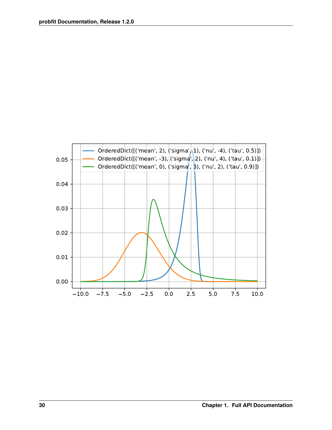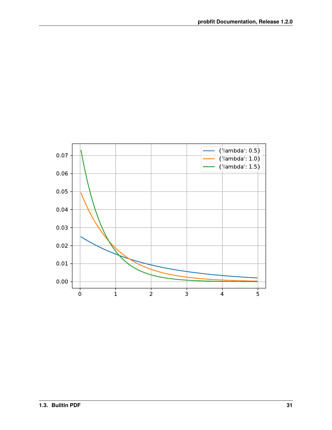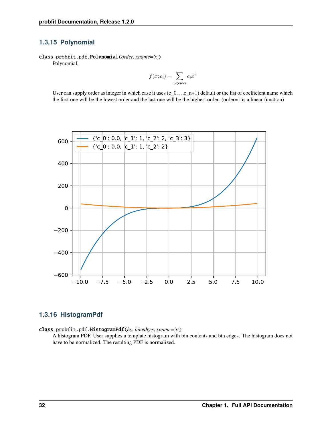### <span id="page-35-4"></span><span id="page-35-0"></span>**1.3.15 Polynomial**

<span id="page-35-3"></span>class probfit.pdf.Polynomial(*order*, *xname='x'*)

Polynomial.

$$
f(x; c_i) = \sum_{i < \text{order}} c_i x^i
$$

User can supply order as integer in which case it uses  $(c_0...c_n+1)$  default or the list of coefficient name which the first one will be the lowest order and the last one will be the highest order. (order=1 is a linear function)



### <span id="page-35-1"></span>**1.3.16 HistogramPdf**

<span id="page-35-2"></span>class probfit.pdf.HistogramPdf(*hy*, *binedges*, *xname='x'*)

A histogram PDF. User supplies a template histogram with bin contents and bin edges. The histogram does not have to be normalized. The resulting PDF is normalized.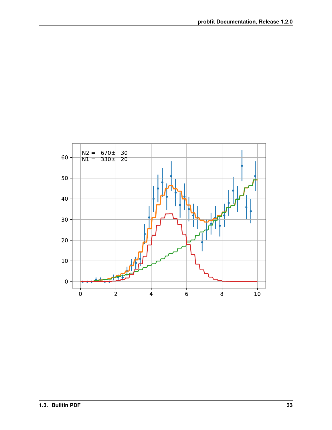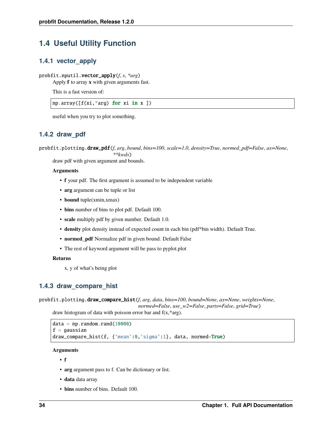## <span id="page-37-7"></span><span id="page-37-0"></span>**1.4 Useful Utility Function**

### <span id="page-37-1"></span>**1.4.1 vector\_apply**

<span id="page-37-4"></span>probfit.nputil.vector\_apply(*f*, *x*, *\*arg*)

Apply **f** to array **x** with given arguments fast.

This is a fast version of:

np.array( $[f(xi, *arg)$  for xi in x ])

useful when you try to plot something.

### <span id="page-37-2"></span>**1.4.2 draw\_pdf**

<span id="page-37-5"></span>probfit.plotting.draw\_pdf(*f*, *arg*, *bound*, *bins=100*, *scale=1.0*, *density=True*, *normed\_pdf=False*, *ax=None*, *\*\*kwds*)

draw pdf with given argument and bounds.

#### **Arguments**

- **f** your pdf. The first argument is assumed to be independent variable
- **arg** argument can be tuple or list
- **bound** tuple(xmin,xmax)
- **bins** number of bins to plot pdf. Default 100.
- **scale** multiply pdf by given number. Default 1.0.
- **density** plot density instead of expected count in each bin (pdf\*bin width). Default True.
- **normed\_pdf** Normalize pdf in given bound. Default False
- The rest of keyword argument will be pass to pyplot.plot

#### **Returns**

x, y of what's being plot

### <span id="page-37-3"></span>**1.4.3 draw\_compare\_hist**

<span id="page-37-6"></span>probfit.plotting.draw\_compare\_hist(*f*, *arg*, *data*, *bins=100*, *bound=None*, *ax=None*, *weights=None*, *normed=False*, *use\_w2=False*, *parts=False*, *grid=True*)

draw histogram of data with poisson error bar and  $f(x, *arg)$ .

```
data = np.random.randn(10000)f = gaussian
draw_compare_hist(f, {'mean':0,'sigma':1}, data, normed=True)
```
**Arguments**

• **f**

- **arg** argument pass to f. Can be dictionary or list.
- **data** data array
- **bins** number of bins. Default 100.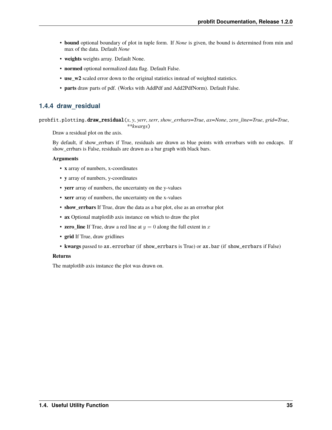- <span id="page-38-2"></span>• **bound** optional boundary of plot in tuple form. If *None* is given, the bound is determined from min and max of the data. Default *None*
- **weights** weights array. Default None.
- **normed** optional normalized data flag. Default False.
- **use\_w2** scaled error down to the original statistics instead of weighted statistics.
- **parts** draw parts of pdf. (Works with AddPdf and Add2PdfNorm). Default False.

#### <span id="page-38-0"></span>**1.4.4 draw\_residual**

<span id="page-38-1"></span>probfit.plotting.draw\_residual(*x*, *y*, *yerr*, *xerr*, *show\_errbars=True*, *ax=None*, *zero\_line=True*, *grid=True*, *\*\*kwargs*)

Draw a residual plot on the axis.

By default, if show\_errbars if True, residuals are drawn as blue points with errorbars with no endcaps. If show\_errbars is False, residuals are drawn as a bar graph with black bars.

#### **Arguments**

- **x** array of numbers, x-coordinates
- **y** array of numbers, y-coordinates
- **yerr** array of numbers, the uncertainty on the y-values
- **xerr** array of numbers, the uncertainty on the x-values
- **show\_errbars** If True, draw the data as a bar plot, else as an errorbar plot
- **ax** Optional matplotlib axis instance on which to draw the plot
- **zero\_line** If True, draw a red line at  $y = 0$  along the full extent in x
- **grid** If True, draw gridlines
- **kwargs** passed to ax.errorbar (if show\_errbars is True) or ax.bar (if show\_errbars if False)

#### **Returns**

The matplotlib axis instance the plot was drawn on.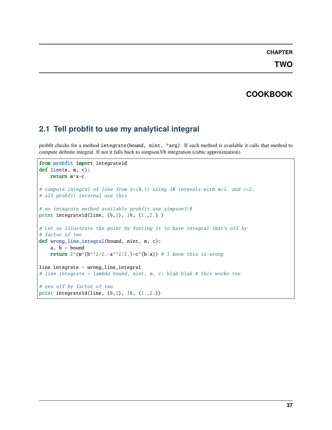**TWO**

## **COOKBOOK**

## <span id="page-40-1"></span><span id="page-40-0"></span>**2.1 Tell probfit to use my analytical integral**

probfit checks for a method integrate(bound, nint, \*arg). If such method is available it calls that method to compute definite integral. If not it falls back to simpson3/8 integration (cubic approximation).

```
from probfit import integrate1d
def line(x, m, c):
    return m*x+c
# compute integral of line from x=(0,1) using 10 intevals with m=1. and c=2.
# all probfit internal use this
# no integrate method available probfit use simpson3/8
print integrate1d(line, (0,1), 10, (1.,2.) )
# Let us illustrate the point by forcing it to have integral that's off by
# factor of two
def wrong_line_integral(bound, nint, m, c):
    a, b = boundreturn 2*(m*(b**2/2.-a**2/2.)+c*(b-a)) # I know this is wrong
line.integrate = wrong_line_integral
# line.integrate = lambda bound, nint, m, c: blah blah # this works too
# yes off by factor of two
print integrate1d(line, (0,1), 10, (1.,2.))
```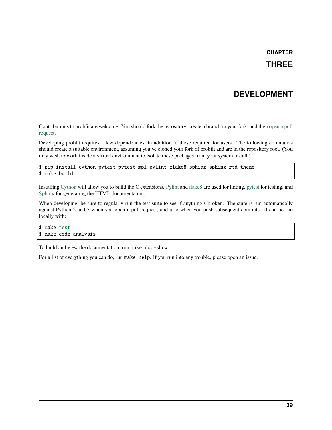### **THREE**

## **DEVELOPMENT**

<span id="page-42-0"></span>Contributions to probfit are welcome. You should fork the repository, create a branch in your fork, and then [open a pull](https://github.com/scikit-hep/probfit/pulls) [request.](https://github.com/scikit-hep/probfit/pulls)

Developing probfit requires a few dependencies, in addition to those required for users. The following commands should create a suitable environment, assuming you've cloned your fork of probfit and are in the repository root. (You may wish to work inside a virtual environment to isolate these packages from your system install.)

\$ pip install cython pytest pytest-mpl pylint flake8 sphinx sphinx\_rtd\_theme \$ make build

Installing [Cython](http://cython.org/) will allow you to build the C extensions. [Pylint](https://www.pylint.org/) and [flake8](https://pypi.python.org/pypi/flake8) are used for linting, [pytest](http://doc.pytest.org/) for testing, and [Sphinx](http://www.sphinx-doc.org/) for generating the HTML documentation.

When developing, be sure to regularly run the test suite to see if anything's broken. The suite is run automatically against Python 2 and 3 when you open a pull request, and also when you push subsequent commits. It can be run locally with:

```
$ make test
$ make code-analysis
```
To build and view the documentation, run make doc-show.

For a list of everything you can do, run make help. If you run into any trouble, please open an issue.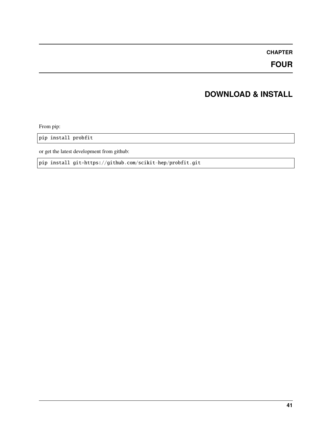**FOUR**

## **DOWNLOAD & INSTALL**

<span id="page-44-0"></span>From pip:

pip install probfit

or get the latest development from github:

pip install git+https://github.com/scikit-hep/probfit.git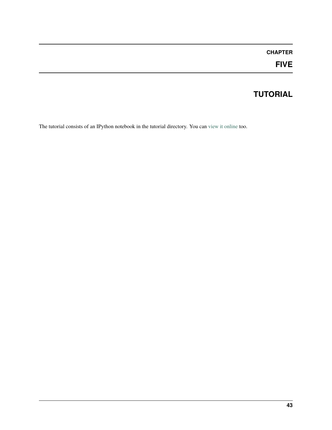## **FIVE**

## **TUTORIAL**

<span id="page-46-0"></span>The tutorial consists of an IPython notebook in the tutorial directory. You can [view it online](http://nbviewer.ipython.org/urls/raw.github.com/scikit-hep/probfit/master/tutorial/tutorial.ipynb) too.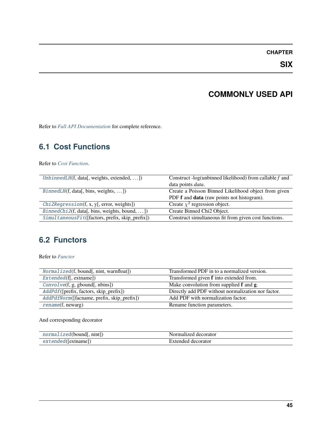**SIX**

## **COMMONLY USED API**

<span id="page-48-0"></span>Refer to *[Full API Documentation](#page-6-0)* for complete reference.

## <span id="page-48-1"></span>**6.1 Cost Functions**

Refer to *[Cost Function](#page-6-1)*.

| UnbinnedLH(f, data[, weights, extended, ])      | Construct -log(unbinned likelihood) from callable $f$ and |
|-------------------------------------------------|-----------------------------------------------------------|
|                                                 | data points data.                                         |
| $BinnedLH(f, data[, bins, weights, )$           | Create a Poisson Binned Likelihood object from given      |
|                                                 | PDF f and data (raw points not histogram).                |
| $Chi2Regression(f, x, y[, error, weights])$     | Create $\chi^2$ regression object.                        |
| $BinnedChi2(f, data[, bins, weights, bound, )$  | Create Binned Chi <sub>2</sub> Object.                    |
| SimultaneousFit([factors, prefix, skip_prefix]) | Construct simultaneous fit from given cost functions.     |

## <span id="page-48-2"></span>**6.2 Functors**

Refer to *[Functor](#page-17-0)*

| <i>Normalized</i> (f, bound[, nint, warnfloat]) | Transformed PDF in to a normalized version.            |
|-------------------------------------------------|--------------------------------------------------------|
| $Extended(f[$ , extname])                       | Transformed given <b>f</b> into extended from.         |
| $Convolve(f, g, gbound[, \text{nbins}])$        | Make convolution from supplied <b>f</b> and <b>g</b> . |
| AddPdf([prefix, factors, skip_prefix])          | Directly add PDF without normalization nor factor.     |
| AddPdfNorm([facname, prefix, skip_prefix])      | Add PDF with normalization factor.                     |
| rename(f, newarg)                               | Rename function parameters.                            |

And corresponding decorator

| normalized(bound[, nint]) | Normalized decorator |
|---------------------------|----------------------|
| extended(extname)         | Extended decorator   |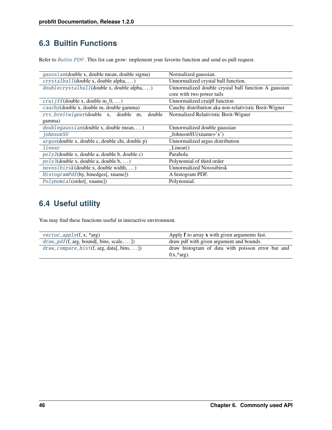## <span id="page-49-0"></span>**6.3 Builtin Functions**

Refer to *[Builtin PDF](#page-23-0)*. This list can grow: implement your favorite function and send us pull request.

| gaussian(double x, double mean, double sigma)    | Normalized gaussian.                                  |
|--------------------------------------------------|-------------------------------------------------------|
| $crystal ball(double x, double alpha, )$         | Unnormalized crystal ball function.                   |
| doublecrystalball(double x, double alpha, )      | Unnormalized double crystal ball function A gaussian  |
|                                                  | core with two power tails                             |
| crui j $ff$ (double x, double m_0, )             | Unnormalized cruijff function                         |
| cauchy(double x, double m, double gamma)         | Cauchy distribution aka non-relativistic Breit-Wigner |
| rtv_breitwigner(double x, double<br>double<br>m, | Normalized Relativistic Breit-Wigner                  |
| gamma)                                           |                                                       |
| $doublegaussian(double x, double mean, )$        | Unnormalized double gaussian                          |
| johnsonSU                                        | $JohnsonSU(xname='x')$                                |
| argus(double x, double c, double chi, double p)  | Unnormalized argus distribution                       |
| linear                                           | Linear()                                              |
| poly2(double x, double a, double b, double c)    | Parabola                                              |
| $poly3$ (double x, double a, double b, )         | Polynomial of third order                             |
| novosibirsk(double x, double width, )            | <b>Unnormalized Novosibirsk</b>                       |
| HistoryramPdf(hy, binedges[, xname])             | A histogram PDF.                                      |
| Polynomial(order[, xname])                       | Polynomial.                                           |

## <span id="page-49-1"></span>**6.4 Useful utility**

You may find these functions useful in interactive environment.

| $vector\_\overline{apply}(f, x, \ast\$ arg)  | Apply $f$ to array $x$ with given arguments fast. |
|----------------------------------------------|---------------------------------------------------|
| $draw_pdf(f, arg, bound[, bins, scale, )$    | draw pdf with given argument and bounds.          |
| $draw\_compare\_hist(f, arg, data[, bins, )$ | draw histogram of data with poisson error bar and |
|                                              | $f(x, \ast arg)$ .                                |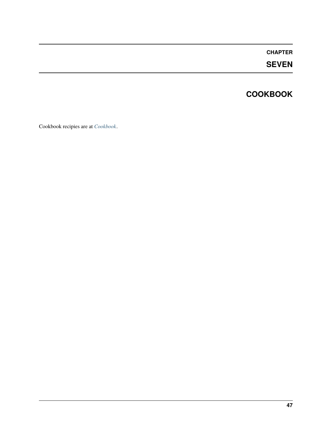## **SEVEN**

## **COOKBOOK**

<span id="page-50-0"></span>Cookbook recipies are at *[Cookbook](#page-40-0)*.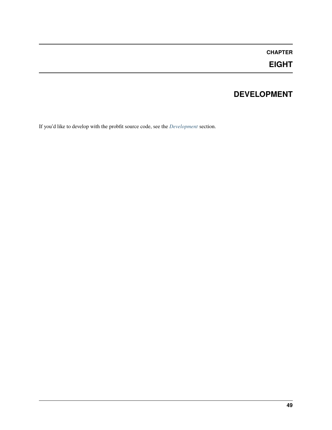## **EIGHT**

## **DEVELOPMENT**

<span id="page-52-0"></span>If you'd like to develop with the probfit source code, see the *[Development](#page-42-0)* section.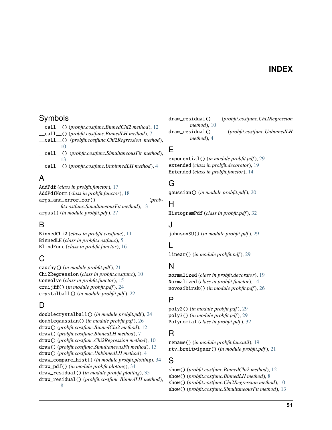## **INDEX**

## <span id="page-54-0"></span>Symbols

\_\_call\_\_() (*probfit.costfunc.BinnedChi2 method*), [12](#page-15-1) \_\_call\_\_() (*probfit.costfunc.BinnedLH method*), [7](#page-10-1) \_\_call\_\_() (*probfit.costfunc.Chi2Regression method*), [10](#page-13-3) \_\_call\_\_() (*probfit.costfunc.SimultaneousFit method*), [13](#page-16-3)

\_\_call\_\_() (*probfit.costfunc.UnbinnedLH method*), [4](#page-7-1)

## A

AddPdf (*class in probfit.functor*), [17](#page-20-2) AddPdfNorm (*class in probfit.functor*), [18](#page-21-2) args\_and\_error\_for() (*probfit.costfunc.SimultaneousFit method*), [13](#page-16-3) argus() (*in module probfit.pdf* ), [27](#page-30-2)

## B

BinnedChi2 (*class in probfit.costfunc*), [11](#page-14-2) BinnedLH (*class in probfit.costfunc*), [5](#page-8-2) BlindFunc (*class in probfit.functor*), [16](#page-19-1)

## C

cauchy() (*in module probfit.pdf* ), [21](#page-24-4) Chi2Regression (*class in probfit.costfunc*), [10](#page-13-3) Convolve (*class in probfit.functor*), [15](#page-18-2) cruijff() (*in module probfit.pdf* ), [24](#page-27-4) crystalball() (*in module probfit.pdf* ), [22](#page-25-2)

## D

doublecrystalball() (*in module probfit.pdf* ), [24](#page-27-4) doublegaussian() (*in module probfit.pdf* ), [26](#page-29-4) draw() (*probfit.costfunc.BinnedChi2 method*), [12](#page-15-1) draw() (*probfit.costfunc.BinnedLH method*), [7](#page-10-1) draw() (*probfit.costfunc.Chi2Regression method*), [10](#page-13-3) draw() (*probfit.costfunc.SimultaneousFit method*), [13](#page-16-3) draw() (*probfit.costfunc.UnbinnedLH method*), [4](#page-7-1) draw\_compare\_hist() (*in module probfit.plotting*), [34](#page-37-7) draw\_pdf() (*in module probfit.plotting*), [34](#page-37-7) draw\_residual() (*in module probfit.plotting*), [35](#page-38-2) draw\_residual() (*probfit.costfunc.BinnedLH method*), [8](#page-11-0)

*method*), [10](#page-13-3) *method*), [4](#page-7-1)

draw\_residual() (*probfit.costfunc.Chi2Regression* draw\_residual() (*probfit.costfunc.UnbinnedLH*

### E

exponential() (*in module probfit.pdf* ), [29](#page-32-9) extended (*class in probfit.decorator*), [19](#page-22-5) Extended (*class in probfit.functor*), [14](#page-17-5)

## G

gaussian() (*in module probfit.pdf* ), [20](#page-23-3)

## H

HistogramPdf (*class in probfit.pdf* ), [32](#page-35-4)

### J

johnsonSU() (*in module probfit.pdf* ), [29](#page-32-9)

## L

linear() (*in module probfit.pdf* ), [29](#page-32-9)

## N

normalized (*class in probfit.decorator*), [19](#page-22-5) Normalized (*class in probfit.functor*), [14](#page-17-5) novosibirsk() (*in module probfit.pdf* ), [26](#page-29-4)

## P

poly2() (*in module probfit.pdf* ), [29](#page-32-9) poly3() (*in module probfit.pdf* ), [29](#page-32-9) Polynomial (*class in probfit.pdf* ), [32](#page-35-4)

### R

rename() (*in module probfit.funcutil*), [19](#page-22-5) rtv\_breitwigner() (*in module probfit.pdf* ), [21](#page-24-4)

### S

- show() (*probfit.costfunc.BinnedChi2 method*), [12](#page-15-1)
- show() (*probfit.costfunc.BinnedLH method*), [8](#page-11-0)
- show() (*probfit.costfunc.Chi2Regression method*), [10](#page-13-3)
- show() (*probfit.costfunc.SimultaneousFit method*), [13](#page-16-3)